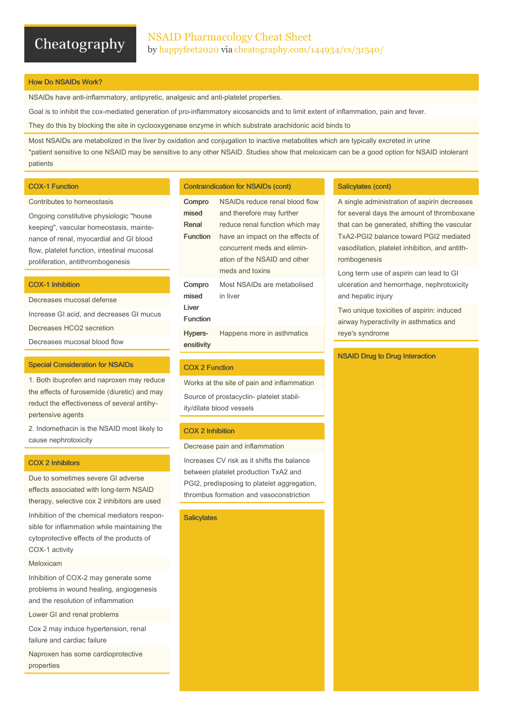## Cheatography

## How Do NSAIDs Work?

NSAIDs have anti-inflammatory, antipyretic, analgesic and anti-platelet properties.

Goal is to inhibit the cox-mediated generation of pro-inflammatory eicosanoids and to limit extent of inflammation, pain and fever.

They do this by blocking the site in cyclooxygenase enzyme in which substrate arachidonic acid binds to

Most NSAIDs are metabolized in the liver by oxidation and conjugation to inactive metabolites which are typically excreted in urine \*patient sensitive to one NSAID may be sensitive to any other NSAID. Studies show that meloxicam can be a good option for NSAID intolerant patients

#### COX-1 Function

#### Contributes to homeostasis

Ongoing constitutive physiologic "house keeping", vascular homeostasis, mainte‐ nance of renal, myocardial and GI blood flow, platelet function, intestinal mucosal proliferation, antithrombogenesis

## COX-1 Inhibition

Decreases mucosal defense Increase GI acid, and decreases GI mucus Decreases HCO2 secretion Decreases mucosal blood flow

#### Special Consideration for NSAIDs

1. Both ibuprofen and naproxen may reduce the effects of furosemide (diuretic) and may reduct the effectiveness of several antihy‐ pertensive agents

2. Indomethacin is the NSAID most likely to cause nephrotoxicity

#### COX 2 Inhibitors

Due to sometimes severe GI adverse effects associated with long-term NSAID therapy, selective cox 2 inhibitors are used

Inhibition of the chemical mediators respon‐ sible for inflammation while maintaining the cytoprotective effects of the products of COX-1 activity

#### Meloxicam

Inhibition of COX-2 may generate some problems in wound healing, angiogenesis and the resolution of inflammation

Lower GI and renal problems

Cox 2 may induce hypertension, renal failure and cardiac failure

Naproxen has some cardioprotective properties

#### Contraindication for NSAIDs (cont)

| Compro<br>mised<br>Renal<br><b>Function</b>  | NSAIDs reduce renal blood flow<br>and therefore may further<br>reduce renal function which may<br>have an impact on the effects of<br>concurrent meds and elimin-<br>ation of the NSAID and other |
|----------------------------------------------|---------------------------------------------------------------------------------------------------------------------------------------------------------------------------------------------------|
|                                              | meds and toxins                                                                                                                                                                                   |
| Compro<br>mised<br>I iver<br><b>Function</b> | Most NSAIDs are metabolised<br>in liver                                                                                                                                                           |
| Hypers-<br>ensitivity                        | Happens more in asthmatics                                                                                                                                                                        |
|                                              |                                                                                                                                                                                                   |

## COX 2 Function

Works at the site of pain and inflammation Source of prostacyclin- platelet stabil‐ ity/dilate blood vessels

## COX 2 Inhibition

Decrease pain and inflammation

Increases CV risk as it shifts the balance between platelet production TxA2 and PGI2, predisposing to platelet aggregation, thrombus formation and vasoconstriction

## **Salicylates**

### Salicylates (cont)

A single administration of aspirin decreases for several days the amount of thromboxane that can be generated, shifting the vascular TxA2-PGI2 balance toward PGI2 mediated vasodilation, platelet inhibition, and antith‐ rombogenesis

Long term use of aspirin can lead to GI ulceration and hemorrhage, nephrotoxicity and hepatic injury

Two unique toxicities of aspirin: induced airway hyperactivity in asthmatics and reye's syndrome

#### NSAID Drug to Drug Interaction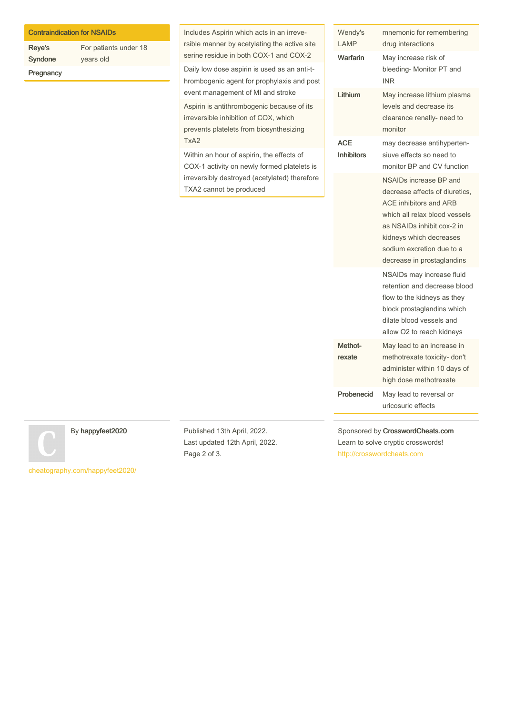| <b>Contraindication for NSAIDs</b> |  |  |
|------------------------------------|--|--|
|                                    |  |  |

| <b>Reye's</b> | For patients under 18 |
|---------------|-----------------------|
| Syndone       | years old             |
| Pregnancy     |                       |

Includes Aspirin which acts in an irreve‐ rsible manner by acetylating the active site serine residue in both COX-1 and COX-2

Daily low dose aspirin is used as an anti-t‐ hrombogenic agent for prophylaxis and post event management of MI and stroke

Aspirin is antithrombogenic because of its irreversible inhibition of COX, which prevents platelets from biosynthesizing TxA2

Within an hour of aspirin, the effects of COX-1 activity on newly formed platelets is irreversibly destroyed (acetylated) therefore TXA2 cannot be produced

| Wendy's<br><b>LAMP</b>          | mnemonic for remembering<br>drug interactions                                                                                                                                                                                                  |
|---------------------------------|------------------------------------------------------------------------------------------------------------------------------------------------------------------------------------------------------------------------------------------------|
| Warfarin                        | May increase risk of<br>bleeding- Monitor PT and<br><b>INR</b>                                                                                                                                                                                 |
| Lithium                         | May increase lithium plasma<br>levels and decrease its<br>clearance renally- need to<br>monitor                                                                                                                                                |
| <b>ACE</b><br><b>Inhibitors</b> | may decrease antihyperten-<br>siuve effects so need to<br>monitor BP and CV function                                                                                                                                                           |
|                                 | NSAIDs increase BP and<br>decrease affects of diuretics,<br><b>ACE inhibitors and ARB</b><br>which all relax blood vessels<br>as NSAIDs inhibit cox-2 in<br>kidneys which decreases<br>sodium excretion due to a<br>decrease in prostaglandins |
|                                 | NSAIDs may increase fluid<br>retention and decrease blood<br>flow to the kidneys as they<br>block prostaglandins which<br>dilate blood vessels and<br>allow O2 to reach kidneys                                                                |
| Methot-<br>rexate               | May lead to an increase in<br>methotrexate toxicity- don't<br>administer within 10 days of<br>high dose methotrexate                                                                                                                           |
| Probenecid                      | May lead to reversal or<br>uricosuric effects                                                                                                                                                                                                  |

Sponsored by CrosswordCheats.com Learn to solve cryptic crosswords! <http://crosswordcheats.com>

By happyfeet2020

[cheatography.com/happyfeet2020/](http://www.cheatography.com/happyfeet2020/)

Published 13th April, 2022. Last updated 12th April, 2022. Page 2 of 3.